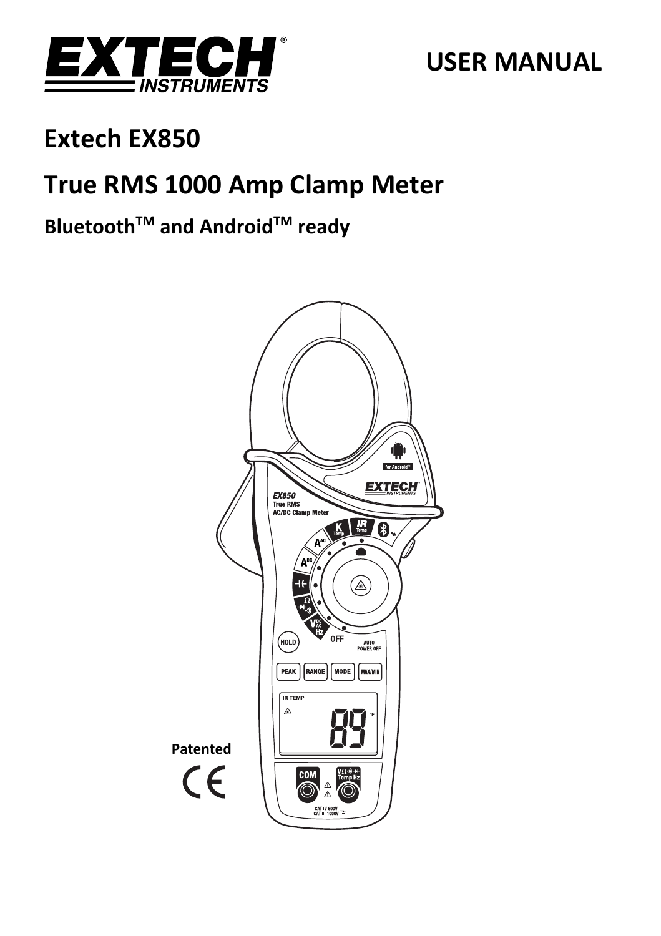

# **USER MANUAL**

# **Extech EX850**

# **True RMS 1000 Amp Clamp Meter**

# **BluetoothTM and AndroidTM ready**

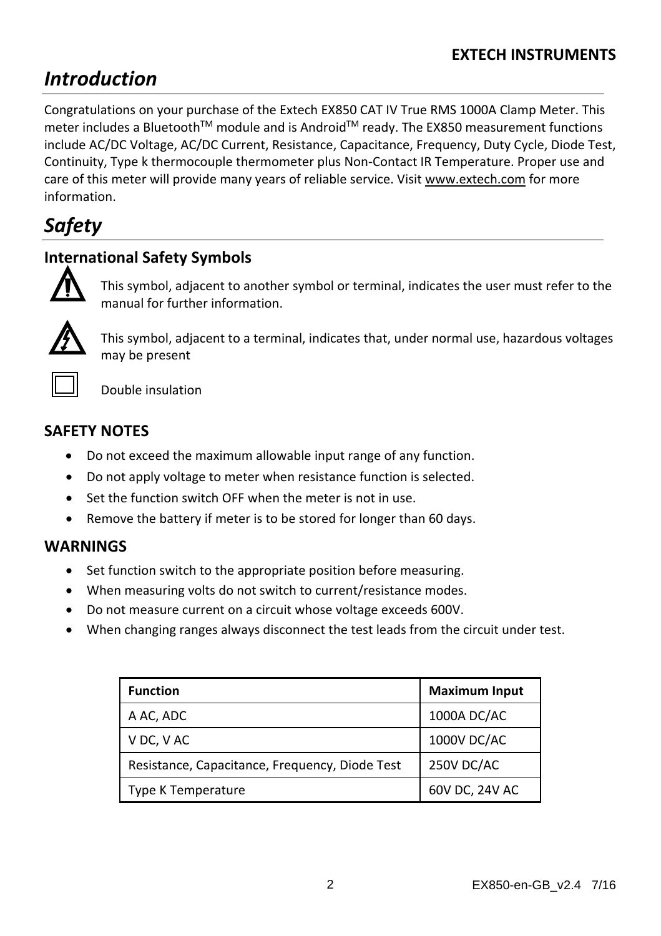# *Introduction*

Congratulations on your purchase of the Extech EX850 CAT IV True RMS 1000A Clamp Meter. This meter includes a Bluetooth™ module and is Android™ ready. The EX850 measurement functions include AC/DC Voltage, AC/DC Current, Resistance, Capacitance, Frequency, Duty Cycle, Diode Test, Continuity, Type k thermocouple thermometer plus Non‐Contact IR Temperature. Proper use and care of this meter will provide many years of reliable service. Visit www.extech.com for more information.

# *Safety*

# **International Safety Symbols**



This symbol, adjacent to another symbol or terminal, indicates the user must refer to the manual for further information.



This symbol, adjacent to a terminal, indicates that, under normal use, hazardous voltages may be present



Double insulation

# **SAFETY NOTES**

- Do not exceed the maximum allowable input range of any function.
- Do not apply voltage to meter when resistance function is selected.
- Set the function switch OFF when the meter is not in use.
- Remove the battery if meter is to be stored for longer than 60 days.

## **WARNINGS**

- Set function switch to the appropriate position before measuring.
- When measuring volts do not switch to current/resistance modes.
- Do not measure current on a circuit whose voltage exceeds 600V.
- When changing ranges always disconnect the test leads from the circuit under test.

| <b>Function</b>                                | <b>Maximum Input</b> |
|------------------------------------------------|----------------------|
| A AC, ADC                                      | 1000A DC/AC          |
| V DC, V AC                                     | 1000V DC/AC          |
| Resistance, Capacitance, Frequency, Diode Test | 250V DC/AC           |
| Type K Temperature                             | 60V DC, 24V AC       |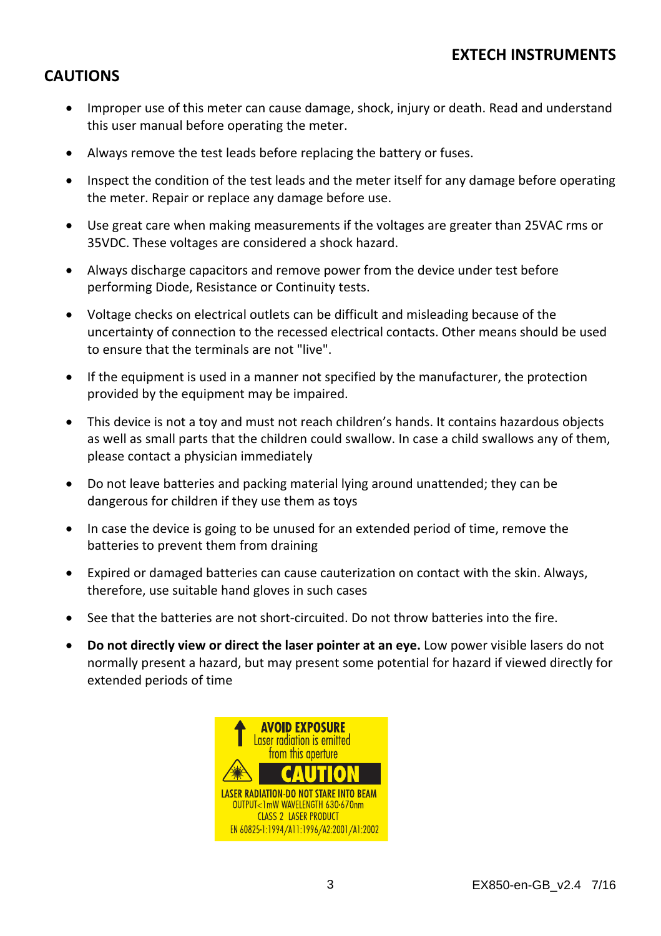### **CAUTIONS**

- Improper use of this meter can cause damage, shock, injury or death. Read and understand this user manual before operating the meter.
- Always remove the test leads before replacing the battery or fuses.
- Inspect the condition of the test leads and the meter itself for any damage before operating the meter. Repair or replace any damage before use.
- Use great care when making measurements if the voltages are greater than 25VAC rms or 35VDC. These voltages are considered a shock hazard.
- Always discharge capacitors and remove power from the device under test before performing Diode, Resistance or Continuity tests.
- Voltage checks on electrical outlets can be difficult and misleading because of the uncertainty of connection to the recessed electrical contacts. Other means should be used to ensure that the terminals are not "live".
- If the equipment is used in a manner not specified by the manufacturer, the protection provided by the equipment may be impaired.
- This device is not a toy and must not reach children's hands. It contains hazardous objects as well as small parts that the children could swallow. In case a child swallows any of them, please contact a physician immediately
- Do not leave batteries and packing material lying around unattended; they can be dangerous for children if they use them as toys
- In case the device is going to be unused for an extended period of time, remove the batteries to prevent them from draining
- Expired or damaged batteries can cause cauterization on contact with the skin. Always, therefore, use suitable hand gloves in such cases
- See that the batteries are not short-circuited. Do not throw batteries into the fire.
- **Do not directly view or direct the laser pointer at an eye.** Low power visible lasers do not normally present a hazard, but may present some potential for hazard if viewed directly for extended periods of time

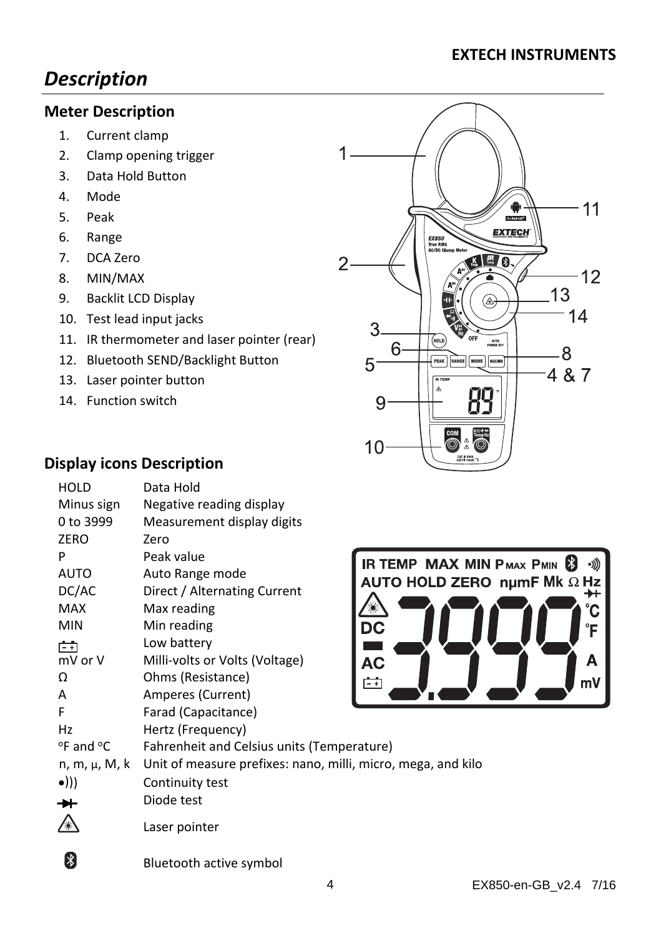# *Description*

#### **Meter Description**

- 1. Current clamp
- 2. Clamp opening trigger
- 3. Data Hold Button
- 4. Mode
- 5. Peak
- 6. Range
- 7. DCA Zero
- 8. MIN/MAX
- 9. Backlit LCD Display
- 10. Test lead input jacks
- 11. IR thermometer and laser pointer (rear)
- 12. Bluetooth SEND/Backlight Button
- 13. Laser pointer button
- 14. Function switch

## **Display icons Description**

| <b>HOLD</b>                   | Data Hold                                                    |                       |
|-------------------------------|--------------------------------------------------------------|-----------------------|
| Minus sign                    | Negative reading display                                     |                       |
| 0 to 3999                     | Measurement display digits                                   |                       |
| ZERO                          | Zero                                                         |                       |
| P                             | Peak value                                                   | IR TEMP MAX MII       |
| AUTO                          | Auto Range mode                                              | <b>AUTO HOLD ZERO</b> |
| DC/AC                         | Direct / Alternating Current                                 |                       |
| MAX                           | Max reading                                                  |                       |
| <b>MIN</b>                    | Min reading                                                  | DC                    |
| 门                             | Low battery                                                  |                       |
| mV or V                       | Milli-volts or Volts (Voltage)                               | AC                    |
| Ω                             | Ohms (Resistance)                                            | ÷η                    |
| А                             | Amperes (Current)                                            |                       |
| F                             | Farad (Capacitance)                                          |                       |
| Hz                            | Hertz (Frequency)                                            |                       |
| $^{\circ}$ F and $^{\circ}$ C | Fahrenheit and Celsius units (Temperature)                   |                       |
| n, m, μ, M, k                 | Unit of measure prefixes: nano, milli, micro, mega, and kilo |                       |
| $\bullet$ )))                 | Continuity test                                              |                       |
|                               | Diode test                                                   |                       |
|                               | Laser pointer                                                |                       |





Bluetooth active symbol

 $\left| \cdot \right|$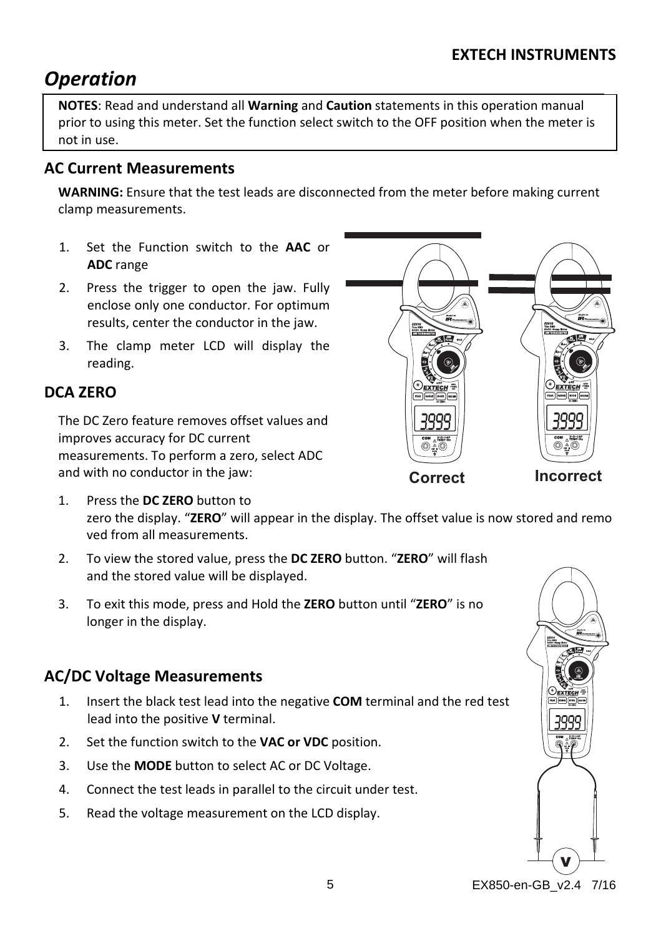# *Operation*

**NOTES**: Read and understand all **Warning** and **Caution** statements in this operation manual prior to using this meter. Set the function select switch to the OFF position when the meter is not in use.

## **AC Current Measurements**

**WARNING:** Ensure that the test leads are disconnected from the meter before making current clamp measurements.

- 1. Set the Function switch to the **AAC** or **ADC** range
- 2. Press the trigger to open the jaw. Fully enclose only one conductor. For optimum results, center the conductor in the jaw.
- 3. The clamp meter LCD will display the reading.

# **DCA ZERO**

The DC Zero feature removes offset values and improves accuracy for DC current measurements. To perform a zero, select ADC and with no conductor in the jaw:



- 1. Press the **DC ZERO** button to zero the display. "**ZERO**" will appear in the display. The offset value is now stored and remo ved from all measurements.
- 2. To view the stored value, press the **DC ZERO** button. "**ZERO**" will flash and the stored value will be displayed.
- 3. To exit this mode, press and Hold the **ZERO** button until "**ZERO**" is no longer in the display.

# **AC/DC Voltage Measurements**

- 1. Insert the black test lead into the negative **COM** terminal and the red test lead into the positive **V** terminal.
- 2. Set the function switch to the **VAC or VDC** position.
- 3. Use the **MODE** button to select AC or DC Voltage.
- 4. Connect the test leads in parallel to the circuit under test.
- 5. Read the voltage measurement on the LCD display.



5 EX850-en-GB\_v2.4 7/16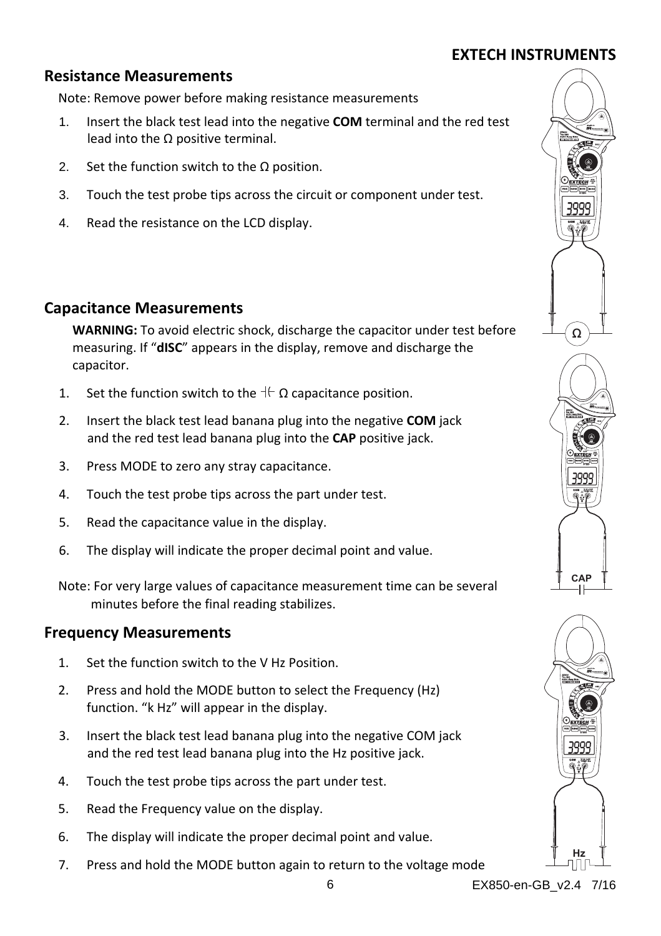### **Resistance Measurements**

Note: Remove power before making resistance measurements

- 1. Insert the black test lead into the negative **COM** terminal and the red test lead into the  $Ω$  positive terminal.
- 2. Set the function switch to the  $\Omega$  position.
- 3. Touch the test probe tips across the circuit or component under test.
- 4. Read the resistance on the LCD display.

#### **Capacitance Measurements**

**WARNING:** To avoid electric shock, discharge the capacitor under test before measuring. If "**dISC**" appears in the display, remove and discharge the capacitor.

- 1. Set the function switch to the  $\pm \Omega$  capacitance position.
- 2. Insert the black test lead banana plug into the negative **COM** jack and the red test lead banana plug into the **CAP** positive jack.
- 3. Press MODE to zero any stray capacitance.
- 4. Touch the test probe tips across the part under test.
- 5. Read the capacitance value in the display.
- 6. The display will indicate the proper decimal point and value.

Note: For very large values of capacitance measurement time can be several minutes before the final reading stabilizes.

#### **Frequency Measurements**

- 1. Set the function switch to the V Hz Position.
- 2. Press and hold the MODE button to select the Frequency (Hz) function. "k Hz" will appear in the display.
- 3. Insert the black test lead banana plug into the negative COM jack and the red test lead banana plug into the Hz positive jack.
- 4. Touch the test probe tips across the part under test.
- 5. Read the Frequency value on the display.
- 6. The display will indicate the proper decimal point and value.
- 7. Press and hold the MODE button again to return to the voltage mode



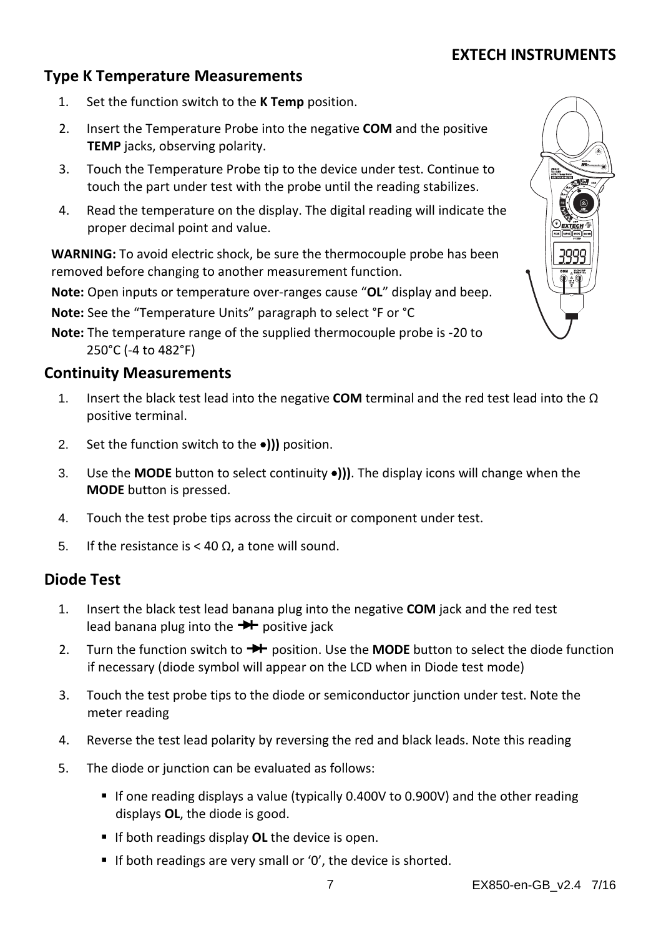#### **Type K Temperature Measurements**

- 1. Set the function switch to the **K Temp** position.
- 2. Insert the Temperature Probe into the negative **COM** and the positive **TEMP** jacks, observing polarity.
- 3. Touch the Temperature Probe tip to the device under test. Continue to touch the part under test with the probe until the reading stabilizes.
- 4. Read the temperature on the display. The digital reading will indicate the proper decimal point and value.

**WARNING:** To avoid electric shock, be sure the thermocouple probe has been removed before changing to another measurement function.

**Note:** Open inputs or temperature over‐ranges cause "**OL**" display and beep.

**Note:** See the "Temperature Units" paragraph to select °F or °C

**Note:** The temperature range of the supplied thermocouple probe is ‐20 to 250°C (‐4 to 482°F)

#### **Continuity Measurements**

- 1. Insert the black test lead into the negative **COM** terminal and the red test lead into the Ω positive terminal.
- 2. Set the function switch to the **)))** position.
- 3. Use the **MODE** button to select continuity  $\bullet$ ))). The display icons will change when the **MODE** button is pressed.
- 4. Touch the test probe tips across the circuit or component under test.
- 5. If the resistance is < 40 Ω, a tone will sound.

#### **Diode Test**

- 1. Insert the black test lead banana plug into the negative **COM** jack and the red test lead banana plug into the  $\rightarrow \rightarrow$  positive jack
- 2. Turn the function switch to **++** position. Use the **MODE** button to select the diode function if necessary (diode symbol will appear on the LCD when in Diode test mode)
- 3. Touch the test probe tips to the diode or semiconductor junction under test. Note the meter reading
- 4. Reverse the test lead polarity by reversing the red and black leads. Note this reading
- 5. The diode or junction can be evaluated as follows:
	- If one reading displays a value (typically 0.400V to 0.900V) and the other reading displays **OL**, the diode is good.
	- **If both readings display OL** the device is open.
	- If both readings are very small or '0', the device is shorted.

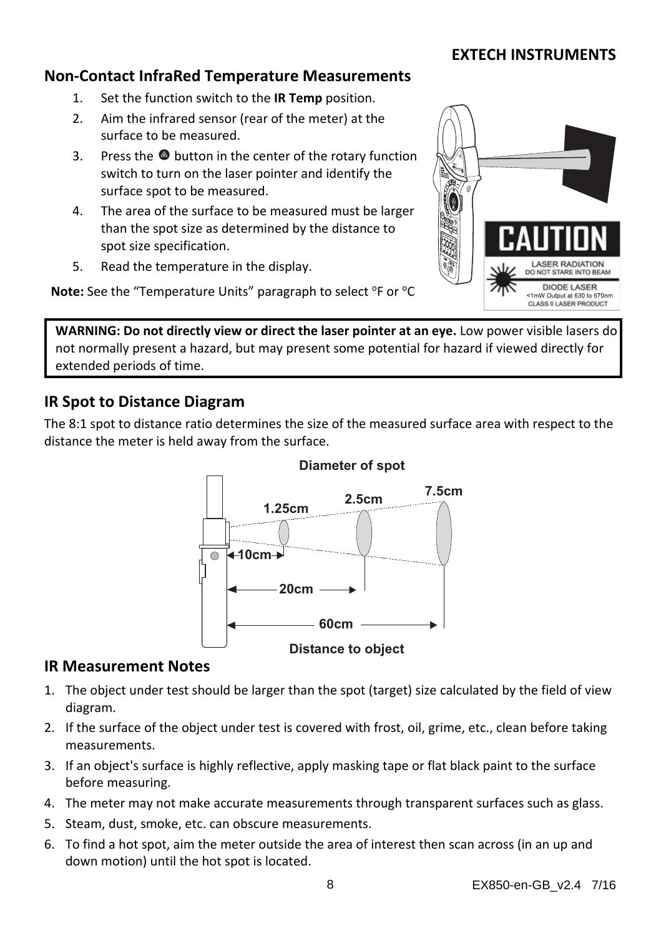#### **Non‐Contact InfraRed Temperature Measurements**

- 1. Set the function switch to the **IR Temp** position.
- 2. Aim the infrared sensor (rear of the meter) at the surface to be measured.
- 3. Press the  $\bullet$  button in the center of the rotary function switch to turn on the laser pointer and identify the surface spot to be measured.
- 4. The area of the surface to be measured must be larger than the spot size as determined by the distance to spot size specification.
- 5. Read the temperature in the display.



**Note:** See the "Temperature Units" paragraph to select <sup>o</sup>F or <sup>o</sup>C

**WARNING: Do not directly view or direct the laser pointer at an eye.** Low power visible lasers do not normally present a hazard, but may present some potential for hazard if viewed directly for extended periods of time.

#### **IR Spot to Distance Diagram**

The 8:1 spot to distance ratio determines the size of the measured surface area with respect to the distance the meter is held away from the surface.



#### **Diameter of spot**

#### **IR Measurement Notes**

- 1. The object under test should be larger than the spot (target) size calculated by the field of view diagram.
- 2. If the surface of the object under test is covered with frost, oil, grime, etc., clean before taking measurements.
- 3. If an object's surface is highly reflective, apply masking tape or flat black paint to the surface before measuring.
- 4. The meter may not make accurate measurements through transparent surfaces such as glass.
- 5. Steam, dust, smoke, etc. can obscure measurements.
- 6. To find a hot spot, aim the meter outside the area of interest then scan across (in an up and down motion) until the hot spot is located.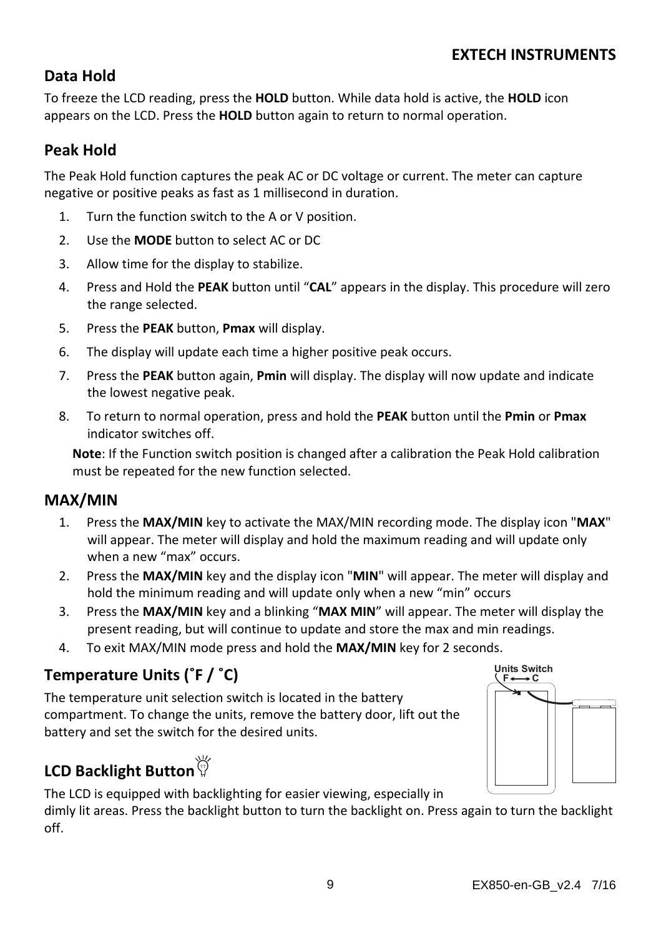# **Data Hold**

To freeze the LCD reading, press the **HOLD** button. While data hold is active, the **HOLD** icon appears on the LCD. Press the **HOLD** button again to return to normal operation.

# **Peak Hold**

The Peak Hold function captures the peak AC or DC voltage or current. The meter can capture negative or positive peaks as fast as 1 millisecond in duration.

- 1. Turn the function switch to the A or V position.
- 2. Use the **MODE** button to select AC or DC
- 3. Allow time for the display to stabilize.
- 4. Press and Hold the **PEAK** button until "**CAL**" appears in the display. This procedure will zero the range selected.
- 5. Press the **PEAK** button, **Pmax** will display.
- 6. The display will update each time a higher positive peak occurs.
- 7. Press the **PEAK** button again, **Pmin** will display. The display will now update and indicate the lowest negative peak.
- 8. To return to normal operation, press and hold the **PEAK** button until the **Pmin** or **Pmax** indicator switches off.

**Note**: If the Function switch position is changed after a calibration the Peak Hold calibration must be repeated for the new function selected.

## **MAX/MIN**

- 1. Press the **MAX/MIN** key to activate the MAX/MIN recording mode. The display icon "**MAX**" will appear. The meter will display and hold the maximum reading and will update only when a new "max" occurs.
- 2. Press the **MAX/MIN** key and the display icon "**MIN**" will appear. The meter will display and hold the minimum reading and will update only when a new "min" occurs
- 3. Press the **MAX/MIN** key and a blinking "**MAX MIN**" will appear. The meter will display the present reading, but will continue to update and store the max and min readings.
- 4. To exit MAX/MIN mode press and hold the **MAX/MIN** key for 2 seconds.

# **Temperature Units (˚F / ˚C)**

The temperature unit selection switch is located in the battery compartment. To change the units, remove the battery door, lift out the battery and set the switch for the desired units.

# **LCD Backlight Button**

The LCD is equipped with backlighting for easier viewing, especially in dimly lit areas. Press the backlight button to turn the backlight on. Press again to turn the backlight off.

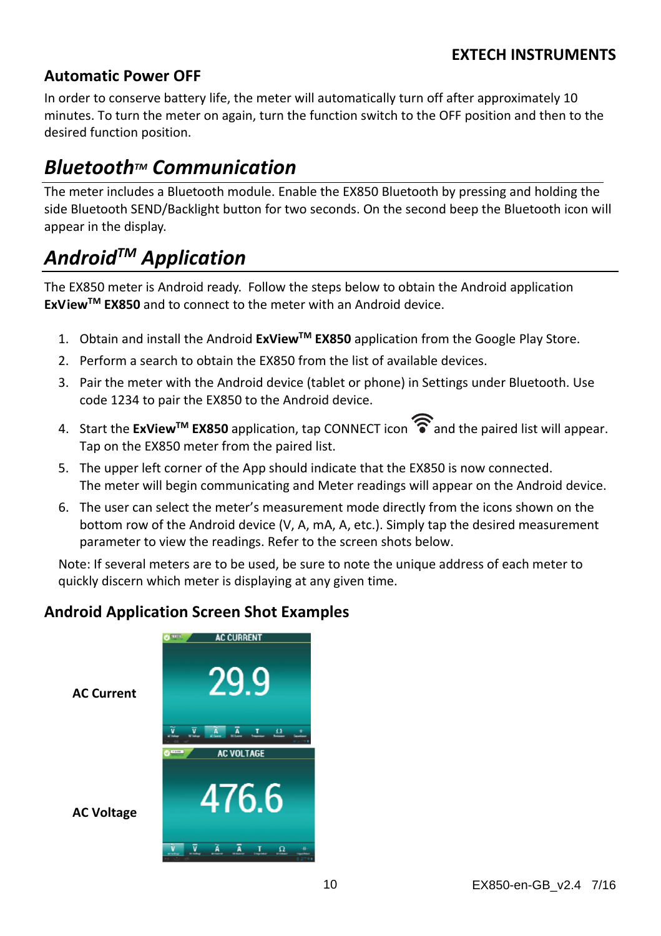### **Automatic Power OFF**

In order to conserve battery life, the meter will automatically turn off after approximately 10 minutes. To turn the meter on again, turn the function switch to the OFF position and then to the desired function position.

# *BluetoothTM Communication*

The meter includes a Bluetooth module. Enable the EX850 Bluetooth by pressing and holding the side Bluetooth SEND/Backlight button for two seconds. On the second beep the Bluetooth icon will appear in the display.

# *AndroidTM Application*

The EX850 meter is Android ready. Follow the steps below to obtain the Android application **ExViewTM EX850** and to connect to the meter with an Android device.

- 1. Obtain and install the Android **ExViewTM EX850** application from the Google Play Store.
- 2. Perform a search to obtain the EX850 from the list of available devices.
- 3. Pair the meter with the Android device (tablet or phone) in Settings under Bluetooth. Use code 1234 to pair the EX850 to the Android device.
- 4. Start the **ExView™ EX850** application, tap CONNECT icon and the paired list will appear. Tap on the EX850 meter from the paired list.
- 5. The upper left corner of the App should indicate that the EX850 is now connected. The meter will begin communicating and Meter readings will appear on the Android device.
- 6. The user can select the meter's measurement mode directly from the icons shown on the bottom row of the Android device (V, A, mA, A, etc.). Simply tap the desired measurement parameter to view the readings. Refer to the screen shots below.

Note: If several meters are to be used, be sure to note the unique address of each meter to quickly discern which meter is displaying at any given time.

## **Android Application Screen Shot Examples**

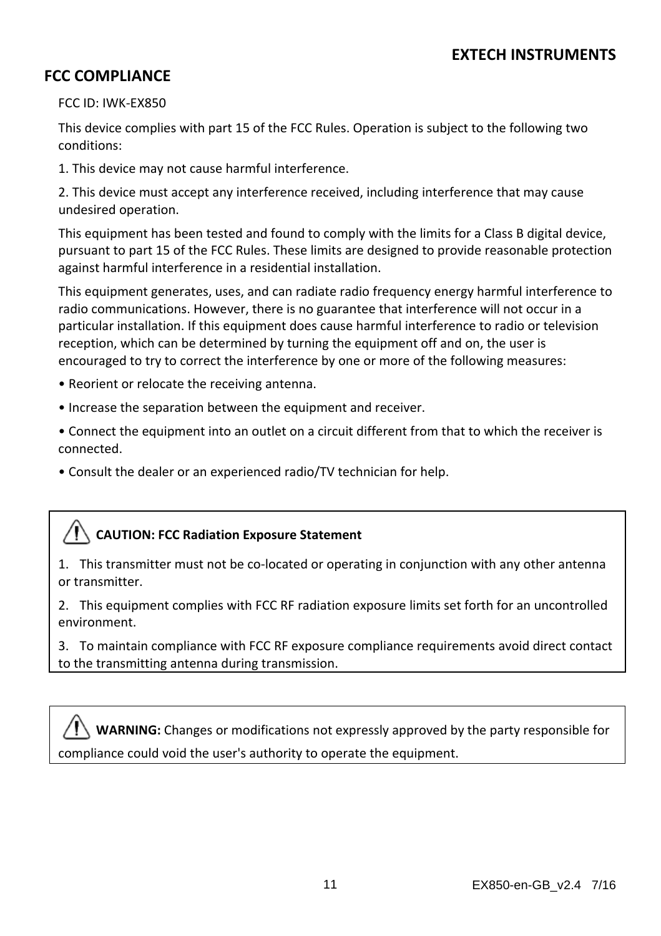#### **FCC COMPLIANCE**

FCC ID: IWK‐EX850

This device complies with part 15 of the FCC Rules. Operation is subject to the following two conditions:

1. This device may not cause harmful interference.

2. This device must accept any interference received, including interference that may cause undesired operation.

This equipment has been tested and found to comply with the limits for a Class B digital device, pursuant to part 15 of the FCC Rules. These limits are designed to provide reasonable protection against harmful interference in a residential installation.

This equipment generates, uses, and can radiate radio frequency energy harmful interference to radio communications. However, there is no guarantee that interference will not occur in a particular installation. If this equipment does cause harmful interference to radio or television reception, which can be determined by turning the equipment off and on, the user is encouraged to try to correct the interference by one or more of the following measures:

- Reorient or relocate the receiving antenna.
- Increase the separation between the equipment and receiver.

• Connect the equipment into an outlet on a circuit different from that to which the receiver is connected.

• Consult the dealer or an experienced radio/TV technician for help.

#### **CAUTION: FCC Radiation Exposure Statement**

1. This transmitter must not be co‐located or operating in conjunction with any other antenna or transmitter.

2. This equipment complies with FCC RF radiation exposure limits set forth for an uncontrolled environment.

3. To maintain compliance with FCC RF exposure compliance requirements avoid direct contact to the transmitting antenna during transmission.

**WARNING:** Changes or modifications not expressly approved by the party responsible for compliance could void the user's authority to operate the equipment.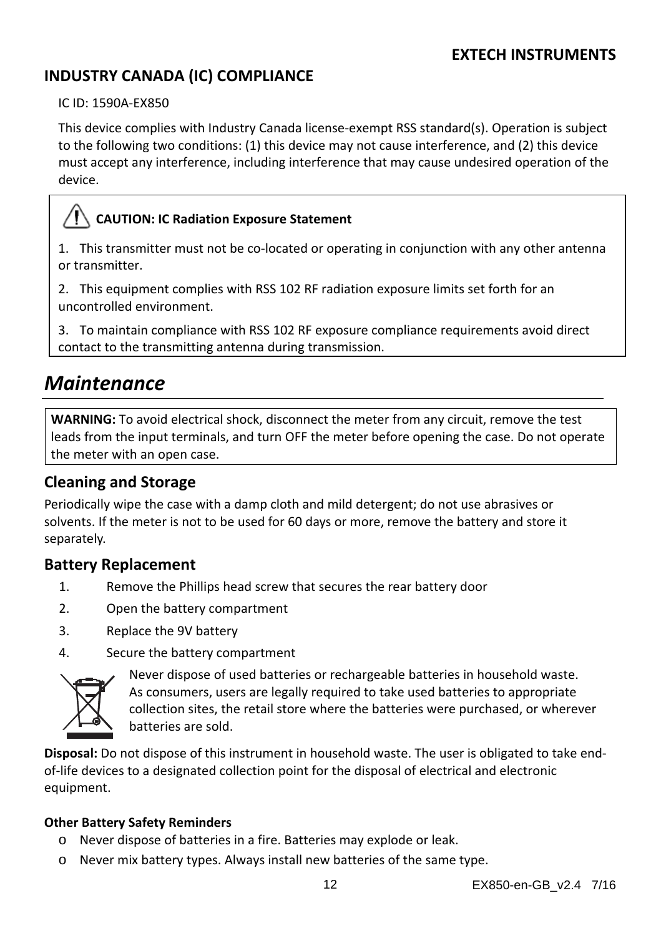# **INDUSTRY CANADA (IC) COMPLIANCE**

IC ID: 1590A‐EX850

This device complies with Industry Canada license‐exempt RSS standard(s). Operation is subject to the following two conditions: (1) this device may not cause interference, and (2) this device must accept any interference, including interference that may cause undesired operation of the device.

## **CAUTION: IC Radiation Exposure Statement**

1. This transmitter must not be co-located or operating in conjunction with any other antenna or transmitter.

2. This equipment complies with RSS 102 RF radiation exposure limits set forth for an uncontrolled environment.

3. To maintain compliance with RSS 102 RF exposure compliance requirements avoid direct contact to the transmitting antenna during transmission.

# *Maintenance*

**WARNING:** To avoid electrical shock, disconnect the meter from any circuit, remove the test leads from the input terminals, and turn OFF the meter before opening the case. Do not operate the meter with an open case.

#### **Cleaning and Storage**

Periodically wipe the case with a damp cloth and mild detergent; do not use abrasives or solvents. If the meter is not to be used for 60 days or more, remove the battery and store it separately.

#### **Battery Replacement**

- 1. Remove the Phillips head screw that secures the rear battery door
- 2. Open the battery compartment
- 3. Replace the 9V battery
- 4. Secure the battery compartment



Never dispose of used batteries or rechargeable batteries in household waste. As consumers, users are legally required to take used batteries to appropriate collection sites, the retail store where the batteries were purchased, or wherever batteries are sold.

**Disposal:** Do not dispose of this instrument in household waste. The user is obligated to take end‐ of‐life devices to a designated collection point for the disposal of electrical and electronic equipment.

#### **Other Battery Safety Reminders**

- o Never dispose of batteries in a fire. Batteries may explode or leak.
- o Never mix battery types. Always install new batteries of the same type.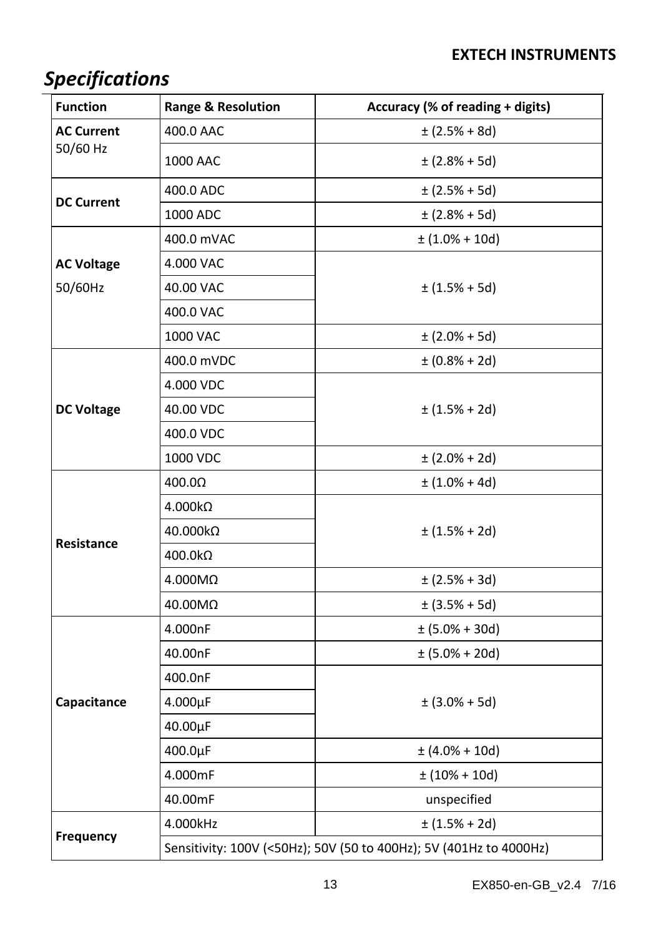# *Specifications*

| <b>Function</b>   | <b>Range &amp; Resolution</b>                                      | Accuracy (% of reading + digits) |
|-------------------|--------------------------------------------------------------------|----------------------------------|
| <b>AC Current</b> | 400.0 AAC                                                          | $\pm$ (2.5% + 8d)                |
| 50/60 Hz          | 1000 AAC                                                           | $\pm$ (2.8% + 5d)                |
| <b>DC Current</b> | 400.0 ADC                                                          | $\pm$ (2.5% + 5d)                |
|                   | 1000 ADC                                                           | $\pm$ (2.8% + 5d)                |
|                   | 400.0 mVAC                                                         | $\pm (1.0\% + 10d)$              |
| <b>AC Voltage</b> | 4.000 VAC                                                          |                                  |
| 50/60Hz           | 40.00 VAC                                                          | $\pm (1.5\% + 5d)$               |
|                   | 400.0 VAC                                                          |                                  |
|                   | 1000 VAC                                                           | $\pm$ (2.0% + 5d)                |
|                   | 400.0 mVDC                                                         | $\pm (0.8\% + 2d)$               |
|                   | 4.000 VDC                                                          |                                  |
| <b>DC Voltage</b> | 40.00 VDC                                                          | $\pm (1.5\% + 2d)$               |
|                   | 400.0 VDC                                                          |                                  |
|                   | 1000 VDC                                                           | $\pm (2.0\% + 2d)$               |
|                   | 400.0Ω                                                             | $\pm (1.0\% + 4d)$               |
| Resistance        | 4.000kΩ                                                            |                                  |
|                   | 40.000kΩ                                                           | $\pm$ (1.5% + 2d)                |
|                   | 400.0kΩ                                                            |                                  |
|                   | 4.000MΩ                                                            | $\pm$ (2.5% + 3d)                |
|                   | 40.00MΩ                                                            | $\pm$ (3.5% + 5d)                |
|                   | 4.000nF                                                            | $\pm (5.0\% + 30d)$              |
|                   | 40.00nF                                                            | $\pm (5.0\% + 20d)$              |
|                   | 400.0nF                                                            |                                  |
| Capacitance       | $4.000\mu F$                                                       | $\pm (3.0\% + 5d)$               |
|                   | 40.00µF                                                            |                                  |
|                   | 400.0µF                                                            | $\pm (4.0\% + 10d)$              |
|                   | 4.000mF                                                            | $\pm (10\% + 10d)$               |
|                   | 40.00mF                                                            | unspecified                      |
|                   | 4.000kHz                                                           | $\pm (1.5\% + 2d)$               |
| Frequency         | Sensitivity: 100V (<50Hz); 50V (50 to 400Hz); 5V (401Hz to 4000Hz) |                                  |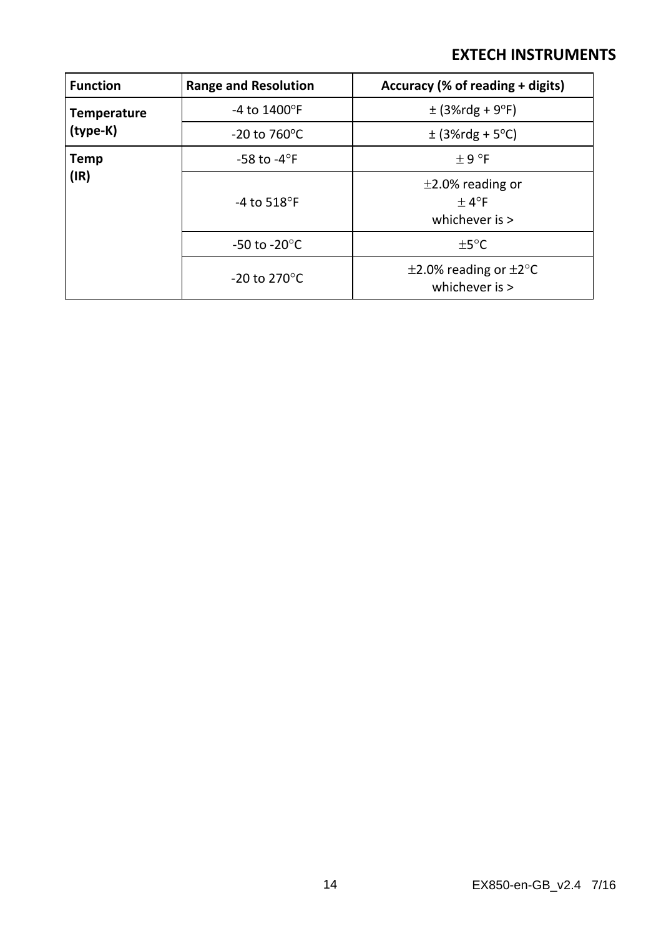| <b>Function</b>                | <b>Range and Resolution</b>    | Accuracy (% of reading + digits)                         |
|--------------------------------|--------------------------------|----------------------------------------------------------|
| <b>Temperature</b><br>(type-K) | $-4$ to $1400^{\circ}$ F       | $\pm$ (3%rdg + 9°F)                                      |
|                                | $-20$ to 760 $^{\circ}$ C      | $\pm$ (3%rdg + 5°C)                                      |
| <b>Temp</b>                    | -58 to -4 $\mathrm{^{\circ}F}$ | $+9°$ F                                                  |
| (IR)                           | -4 to 518 $\mathrm{^{\circ}F}$ | $\pm$ 2.0% reading or<br>$+4^{\circ}F$<br>whichever is > |
|                                | -50 to -20 $^{\circ}$ C        | $+5^{\circ}$ C                                           |
|                                | $-20$ to 270 $\degree$ C       | $\pm$ 2.0% reading or $\pm$ 2°C<br>whichever is $>$      |